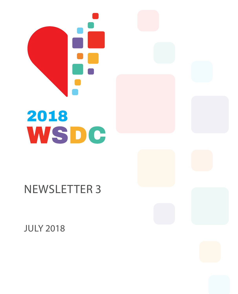

# 2018 WSDC

# Newsletter 3

july 2018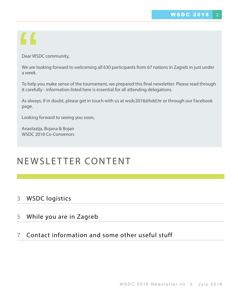# $\blacksquare$

Dear WSDC community,

We are looking forward to welcoming all 630 participants from 67 nations in Zagreb in just under a week.

To help you make sense of the tournament, we prepared this final newsletter. Please read through it carefully - information listed here is essential for all attending delegations.

As always, if in doubt, please get in touch with us at wsdc2018@hdd.hr or through our Facebook page.

Looking forward to seeing you soon,

Anastazija, Bojana & Bojan WSDC 2018 Co-Convenors

# NEWSLETTER CONTENT

### 3 WSDC logistics

 $\overline{\phantom{a}}$ 

### 5 While you are in Zagreb

### 7 Contact information and some other useful stuff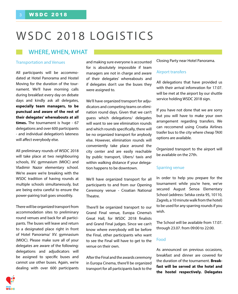# WSDC 2018 LOGISTICS

### Where, when, wHAT

#### Transportation and Venues

All participants will be accommodated at Hotel Panorama and Hostel Moving for the duration of the tournament. We'll have morning calls during breakfast every day on debate days and kindly ask all delegates, **especially team managers, to be punctual and aware of the rest of their delegates' whereabouts at all times.** The tournament is huge - 67 delegations and over 600 participants - and individual delegation's lateness will affect everybody else.

All preliminary rounds of WSDC 2018 will take place at two neighbouring schools, XV. gymnasium (MIOC) and Vladimir Nazor elementary school. We're aware we're breaking with the WSDC tradition of having rounds at multiple schools simultaneously, but are being extra careful to ensure the power-pairing trail goes smoothly.

There will be organized transport from accommodation sites to preliminary round venues and back for all participants. The buses will leave and return to a designated place right in front of Hotel Panorama/ XV. gymnasium (MIOC). Please make sure all of your delegates are aware of the following: delegations and adjudicators will be assigned to specific buses and cannot use other buses. Again, we're dealing with over 600 participants

and making sure everyone is accounted for is absolutely impossible if team managers are not in charge and aware of their delegates' whereabouts and if delegates don't use the buses they were assigned to.

We'll have organized transport for adjudicators and competing teams on elimination round days. Given that we can't guess which delegations/ delegates will want to see see elimination rounds and which rounds specifically, there will be no organized transport for anybody else. However, elimination rounds will conveniently take place around the city center and are easily reachable by public transport, Ubers/ taxis and within walking distance if your delegation happens to be downtown.

We'll have organized transport for all participants to and from our Opening Ceremony venue - Croatian National Theatre.

There'll be organized transport to our Grand Final venue, Europa Cinema's Great Hall, for WSDC 2018 finalists and Grand Final judges. Since we can't know where everybody will be before the Final, other participants who want to see the Final will have to get to the venue on their own.

After the Final and the awards ceremony in Europa Cinema, there'll be organized transport for all participants back to the Closing Party near Hotel Panorama.

#### Airport transfers

All delegations that have provided us with their arrival infomration for 17.07. will be met at the airport by our shuttle service holding WSDC 2018 sign.

If you have not done that we are sorry but you will have to make your own arrangement regarding transfers. We can reccomend using Croatia Airlines trasfer bus to the city where cheap TAXI options are available.

Organized transport to the airport will be available on the 27th.

#### Sparring venue

In order to help you prepare for the tournament while you're here, we've secured August Šenoa Elementary School (address: Selska cesta 95, 10110, Zagreb, a 10 minute walk from the hotel) to be used for any sparring rounds if you wish.

The School will be available from 17.07. through 23.07. from 09:00 to 22:00.

#### Food

As announced on previous occasions, breakfast and dinner are covered for the duration of the tournament. **Breakfast will be served at the hotel and the hostel respectively. Delegates** 

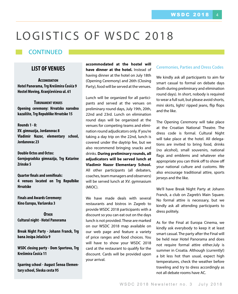# LOGISTICS OF WSDC 2018

### CONTINUED

#### **LIST OF VENUES**

**Accomodation Hotel Panorama, Trg Krešimira Ćosića 9 Hostel Moving, Kranjčevićeva ul. 61**

**Torunament venues Opening ceremony: Hrvatsko narodno kazalište, Trg Republike Hrvatske 15**

**Rounds 1 - 8: XV. gimnazija, Jordanovac 8 Vladimir Nazor, elementary school, Jordanovac 23**

**Double Octos and Octos: Gornjogradska gimnazija, Trg Katarine Zrinske 5**

**Quarter finals and semifinals: 4 venues located on Trg Repulbike Hrvatske**

**Finals and Awards Ceremony: Kino Europa, Varšavska 3**

**Other Cultural night - Hotel Panorama**

**Break Night Party - Johann Franck, Trg bana Josipa Jelačića 9**

**WSDC closing party - Dom Sportova, Trg Krešimira Ćosića 11**

**Sparring school - August Šenoa Elementary school, Sleska cesta 95**

**accommodated at the hostel will have dinner at the hotel.** Instead of having dinner at the hotel on July 18th (Opening Ceremony) and 26th (Closing Party), food will be served at the venues.

Lunch will be organized for all participants and served at the venues on preliminary round days, July 19th, 20th, 22nd and 23rd. Lunch on elimination round days will be organized at the venues for competing teams and elimination round adjudicators only. If you're taking a day trip on the 22nd, lunch is covered under the daytrip fee, but we also recommend bringing snacks and drinks. **During preliminary rounds, all adjudicators will be served lunch at Vladimir Nazor Elementary School.** All other participants (all debaters, coaches, team managers and observers) will be served lunch at XV. gymnasium (MIOC).

We have made deals with several restaurants and bistros in Zagreb to provide WSDC 2018 participants with a discount so you can eat out on the days lunch is not provided. These are marked on our WSDC 2018 map available on our web page and feature a variety of price ranges and food choices. You will have to show your WSDC 2018 card at the restaurant to qualify for the discount. Cards will be provided upon your arrival.

#### Ceremonies, Parties and Dress Codes

We kindly ask all participants to aim for smart casual to formal on debate days (both during preliminary and elimination round days). In short, nobody is required to wear a full suit, but please avoid shorts, mini skirts, light/ ripped jeans, flip flops and the like.

The Opening Ceremony will take place at the Croatian National Theatre. The dress code is formal. Cultural Night will take place at the hotel. All delegations are invited to bring food, drinks (no alcohol), small souvenirs, national flags and emblems and whatever else appropriate you can think off to show off your national culture and customs. We also encourage traditional attire, sports jerseys and the like.

We'll have Break Night Party at Johann Franck, a club on Zagreb's Main Square. No formal attire is necessary, but we kindly ask all attending participants to dress politely.

As for the Final at Europa Cinema, we kindly ask everybody to keep it at least smart casual. The party after the Final will be held near Hotel Panorama and does not require formal attire either.July is summer in Croatia. Although (currently!) a bit less hot than usual, expect high temperatures, check the weather before traveling and try to dress accordingly as not all debate rooms have AC.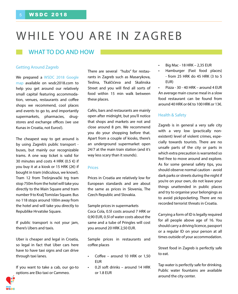# WHILE YOU ARE IN ZAGREB

### WHAT TO DO AND HOW

#### Getting Around Zagreb

We prepared a WSDC 2018 Google [map](https://drive.google.com/open%3Fid%3D1dszCxBZdqK4N2kn6ZXqLFvUpb40a-4UH%26usp%3Dsharing) available on [wsdc2018.com](http://wsdc2018.com/) to help you get around our relatively small capital featuring accommodation, venues, restaurants and coffee shops we recommend, cool places and events to go to, and importantly supermarkets, pharmacies, drugstores and exchange offices (we use Kunas in Croatia, not Euros!).

The cheapest way to get around is by using Zagreb's public transport buses, but mainly our recognizable trams. A one way ticket is valid for 30 minutes and costs 4 HRK (0.5 €) if you buy it at a kiosk or 15 HRK ( $2 \in$ ) if bought in tram (ridiculous, we know!). Tram 12 from Trešnjevački trg tram stop 750m from the hotel will take you directly to the Main Square amd tram number 9 to Kralj Tomislav Square. Bus no 118 stops around 100m away from the hotel and will take you directly to Republike Hrvatske Square.

If public transport is not your jam, there's Ubers and taxis.

Uber is cheaper and legal in Croatia, so legal in fact that Uber cars here have to have taxi signs and can drive through taxi lanes.

If you want to take a cab, our go-to options are Eko taxi or Cammeo.

There are several "hubs" for restaurants in Zagreb such as Masarykova, Teslina, Tkalčićeva and Skalinska Street and you will find all sorts of food within 15 min walk between these places.

Cafés, bars and restaurants are mainly open after midnight, but you'll notice that shops and markets are not and close around 8 pm. We recommend you do your shopping before that. Apart from a couple of kiosks, there's an underground supermarket open 24/7 at the main train station (and it's way less scary than it sounds).

#### Prices

Prices in Croatia are relatively low for European standards and are about the same as prices in Slovenia, The Czech Republic and Slovakia.

Sample prices in supermarkets Coca Cola, 0.5l costs around 7 HRK or 0,90 EUR, 0.5l of water costs about the same and a tube of Pringles will cost you around 20 HRK 2,50 EUR.

Sample prices in restaurants and coffee places

- Coffee around 10 HRK or  $1,50$ EUR
- $0.2$  soft drinks around 14 HRK or 1.8 EUR
- Big Mac 18 HRK 2,35 EUR
- Hamburger (Fast food places) - from 25 HRK do 45 HRK (3 to 5 EUR)
- $Pizza 30 40$  HRK around 4 FUR An average main course meal in a slow food restaurant can be found from around 40 HRK or 6€ to 100 HRK or 13€.

#### Health & Safety

Zagreb is in general a very safe city with a very low (practically nonexistent) level of violent crimes, especially towards tourists. There are no unsafe parts of the city or parts in which extra precaution is warranted so feel free to move around and explore. As for some general safety tips, you should observe normal caution - avoid dark parks or streets during the night if you're on your own, do not leave your things unattended in public places and try to organise your belongings as to avoid pickpocketing. There are no recorded terrorist threats in Croatia.

Carrying a form of ID is legally required for all people above age of 16. You should carry a driving licence, passport or a regular ID on your person at all times outside of your accommodation.

Street food in Zagreb is perfectly safe to eat.

Tap water is perfectly safe for drinking. Public water fountains are available around the city center.

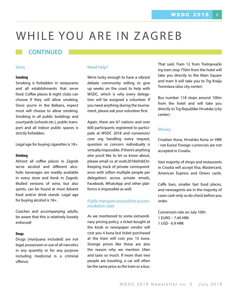# WHILE YOU ARE IN ZAGREB

### CONTINUED

#### Vices

#### **Smoking**

Smoking is forbidden in restaurants and all establishments that serve food. Coffee places & night clubs can choose if they will allow smoking. Since you're in the Balkans, expect most will choose to allow smoking. Smoking in all public buildings and courtyards (schools etc.), public transport and all indoor public spaces is strictly forbidden.

Legal age for buying cigarettes is 18+.

#### **Drinking**

Almost all coffee places in Zagreb serve alcohol and different alcoholic beverages are readily available in every store and kiosk in Zagreb. Mulled versions of wine, but also spirits, can be found at most Advent food and/or drink stands. Legal age for buying alcohol is 18+.

Coaches and accompanying adults, be aware that this is relatively loosely enforced!

#### **Drugs**

Drugs (marijuana included) are not legal; possession or use of all narcotics in any quantity or for any purpose including medicinal is a criminal offence.

#### Need help?

We're lucky enough to have a vibrant debate community willing to give up weeks on the coast to help with WSDC, which is why every delegation will be assigned a volunteer. If you need anything during the tournament, please ask your volunteer first.

Again, there are 67 nations and over 600 participants registered to participate at WSDC 2018 and convenors/ core org handling every request, question or concern individually is virtually impossible. If there's anything else you'd like to let us know about, please email us at wsdc2018@hdd.hr. Keeping track of private correspondence with (often multiple people per delegation) across private emails, Facebook, WhatsApp and other platforms is impossible as well.

#### Public transport around the accommodation sites

As we mentioned to some extraordinary pricing policy, a ticket bought at the kiosk or newspaper vendor will cost you 4 kuna but ticket purchased at the tram will cost you 15 kuna. Strange prices like these are also the reason why we mention Uber and taxis so much. If more than two people are traveling, a car will often be the same price as the tram or a bus.

That said, Tram 12 from Trešnjevački trg tram stop 750m from the hotel will take you directly to the Main Square and tram 9 will take you to Trg Kralja Tomislava (also city center)

Bus number 118 stops around 100m from the hotel and will take you directly to Trg Republike Hrvatske (city center).

#### **Money**

Croatian Kuna, Hrvatska Kuna or HRK - not Euros! Foreign currencies are not accepted in Croatia.

Vast majority of shops and restaurants in Croatia will accept Visa, Mastercard, American Express and Diners cards.

Caffe bars, smaller fast food places, and newsagents are in the majority of cases cash only so do check before you order.

Conversion rate on July 10th: 1 EURO – 7.40 HRK 1 USD - 6.9 HRK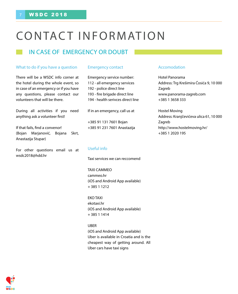# CONTACT INFORMATION

## in case of emergency or doubt

#### What to do if you have a question

There will be a WSDC info corner at the hotel during the whole event, so in case of an emergency or if you have any questions, please contact our volunteers that will be there.

During all activities if you need anything ask a volunteer first!

If that fails, find a convenor! (Bojan Marjanović, Bojana Skrt, Anastazija Stupar)

For other questions email us at wsdc2018@hdd.hr

#### Emergency contact

Emergency service number: 112 - all emergency services 192 - police direct line 193 - fire brigade direct line 194 - health serivces direct line

If in an emergency, call us at

+385 91 131 7601 Bojan +385 91 231 7601 Anastazija

#### Useful info

Taxi services we can reccomend

TAXI CAMMEO cammeo.hr (iOS and Android App available) + 385 1 1212

EKOTAXI ekotaxi.hr (iOS and Android App available) + 385 1 1414

#### UBER

(iOS and Android App available) Uber is available in Croatia and is the cheapest way of getting around. All Uber cars have taxi signs

#### Accomodation

Hotel Panorama Address: Trg Krešimira Ćosića 9, 10 000 Zagreb www.panorama-zagreb.com +385 1 3658 333

Hostel Moving Address: Kranjčevićeva ulica 61, 10 000 Zagreb http://www.hostelmoving.hr/ +385 1 2020 195